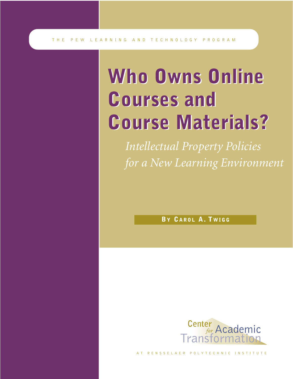# **Who Owns Online Who Owns Online Courses and Courses and Course Materials? Course Materials?**

*Intellectual Property Policies for a New Learning Environment*

**BY CAROL A. T WIGG**



AT RENSSELAER POLYTECHNIC INSTITUTE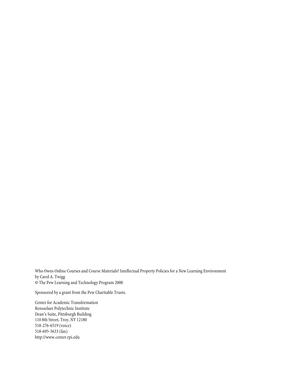Who Owns Online Courses and Course Materials? Intellectual Property Policies for a New Learning Environment by Carol A. Twigg © The Pew Learning and Technology Program 2000

Sponsored by a grant from the Pew Charitable Trusts.

Center for Academic Transformation Rensselaer Polytechnic Institute Dean's Suite, Pittsburgh Building 110 8th Street, Troy, NY 12180 518-276-6519 (voice) 518-695-5633 (fax) http://www.center.rpi.edu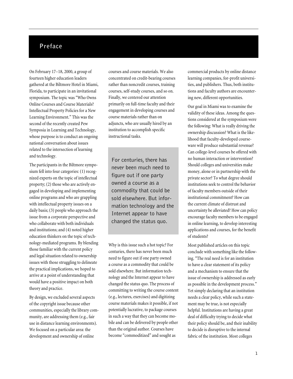### **Preface**

On February 17–18, 2000, a group of fourteen higher education leaders gathered at the Biltmore Hotel in Miami, Florida, to participate in an invitational symposium. The topic was "Who Owns Online Courses and Course Materials? Intellectual Property Policies for a New Learning Environment." This was the second of the recently created Pew Symposia in Learning and Technology, whose purpose is to conduct an ongoing national conversation about issues related to the intersection of learning and technology.

The participants in the Biltmore symposium fell into four categories: (1) recognized experts on the topic of intellectual property; (2) those who are actively engaged in developing and implementing online programs and who are grappling with intellectual property issues on a daily basis; (3) people who approach the issue from a corporate perspective and who collaborate with both individuals and institutions; and (4) noted higher education thinkers on the topic of technology-mediated programs. By blending those familiar with the current policy and legal situation related to ownership issues with those struggling to delineate the practical implications, we hoped to arrive at a point of understanding that would have a positive impact on both theory and practice.

By design, we excluded several aspects of the copyright issue because other communities, especially the library community, are addressing them (e.g., fair use in distance learning environments). We focused on a particular area: the development and ownership of online

courses and course materials. We also concentrated on credit-bearing courses rather than noncredit courses, training courses, self-study courses, and so on. Finally, we centered our attention primarily on full-time faculty and their engagement in developing courses and course materials rather than on adjuncts, who are usually hired by an institution to accomplish specific instructional tasks.

For centuries, there has never been much need to figure out if one party owned a course as a commodity that could be sold elsewhere. But information technology and the Internet appear to have changed the status quo.

Why is this issue such a hot topic? For centuries, there has never been much need to figure out if one party owned a course as a commodity that could be sold elsewhere. But information technology and the Internet appear to have changed the status quo. The process of committing to writing the course content (e.g., lectures, exercises) and digitizing course materials makes it possible, if not potentially lucrative, to package courses in such a way that they can become mobile and can be delivered by people other than the original author. Courses have become "commoditized" and sought as

commercial products by online distance learning companies, for-profit universities, and publishers. Thus, both institutions and faculty authors are encountering new, different opportunities.

Our goal in Miami was to examine the validity of these ideas. Among the questions considered at the symposium were the following: What is really driving the ownership discussion? What is the likelihood that faculty-developed courseware will produce substantial revenue? Can college-level courses be offered with no human interaction or intervention? Should colleges and universities make money, alone or in partnership with the private sector? To what degree should institutions seek to control the behavior of faculty members outside of their institutional commitment? How can the current climate of distrust and uncertainty be alleviated? How can policy encourage faculty members to be engaged in online learning, to develop interesting applications and courses, for the benefit of students?

Most published articles on this topic conclude with something like the following. "The real need is for an institution to have a clear statement of its policy and a mechanism to ensure that the issue of ownership is addressed as early as possible in the development process." Yet simply declaring that an institution needs a clear policy, while such a statement may be true, is not especially helpful. Institutions are having a great deal of difficulty trying to decide what their policy should be, and their inability to decide is disruptive to the internal fabric of the institution. Most colleges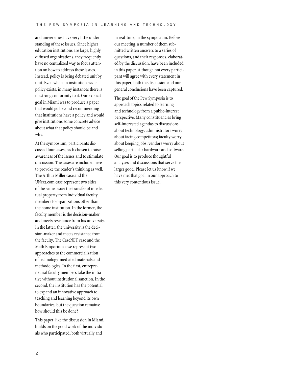and universities have very little understanding of these issues. Since higher education institutions are large, highly diffused organizations, they frequently have no centralized way to focus attention on how to address these issues. Instead, policy is being debated unit by unit. Even when an institution-wide policy exists, in many instances there is no strong conformity to it. Our explicit goal in Miami was to produce a paper that would go beyond recommending that institutions have a policy and would give institutions some concrete advice about what that policy should be and why.

At the symposium, participants discussed four cases, each chosen to raise awareness of the issues and to stimulate discussion. The cases are included here to provoke the reader's thinking as well. The Arthur Miller case and the UNext.com case represent two sides of the same issue: the transfer of intellectual property from individual faculty members to organizations other than the home institution. In the former, the faculty member is the decision-maker and meets resistance from his university. In the latter, the university is the decision-maker and meets resistance from the faculty. The CaseNET case and the Math Emporium case represent two approaches to the commercialization of technology-mediated materials and methodologies. In the first, entrepreneurial faculty members take the initiative without institutional sanction. In the second, the institution has the potential to expand an innovative approach to teaching and learning beyond its own boundaries, but the question remains: how should this be done?

This paper, like the discussion in Miami, builds on the good work of the individuals who participated, both virtually and

in real-time, in the symposium. Before our meeting, a number of them submitted written answers to a series of questions, and their responses, elaborated by the discussion, have been included in this paper. Although not every participant will agree with every statement in this paper, both the discussion and our general conclusions have been captured.

The goal of the Pew Symposia is to approach topics related to learning and technology from a public-interest perspective. Many constituencies bring self-interested agendas to discussions about technology: administrators worry about facing competitors; faculty worry about keeping jobs; vendors worry about selling particular hardware and software. Our goal is to produce thoughtful analyses and discussions that serve the larger good. Please let us know if we have met that goal in our approach to this very contentious issue.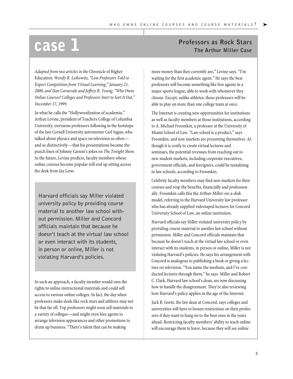*Adapted from two articles in the* Chronicle of Higher Education: *Wendy R. Leibowitz, "Law Professors Told to Expect Competition from Virtual Learning," January 21, 2000, and Dan Carnevale and Jeffrey R. Young, "Who Owns Online Courses? Colleges and Professors Start to Sort It Out," December 17, 1999.*

In what he calls the "Hollywoodization of academia," Arthur Levine, president of Teachers College of Columbia University, envisions professors following in the footsteps of the late Cornell University astronomer Carl Sagan, who talked about physics and space on television so often and so distinctively—that his presentations became the punch lines of Johnny Carson's jokes on *The Tonight Show.* In the future, Levine predicts, faculty members whose online courses become popular will end up sitting across the desk from Jay Leno.

Harvard officials say Miller violated university policy by providing course material to another law school without permission. Miller and Concord officials maintain that because he doesn't teach at the virtual law school or even interact with its students, in person or online, Miller is not violating Harvard's policies.

In such an approach, a faculty member would own the rights to online instructional materials and could sell access to various online colleges. In fact, the day when professors make deals like rock stars and athletes may not be that far off. Top professors might soon sell materials to a variety of colleges—and might even hire agents to arrange television appearances and other promotions to drum up business. "There's talent that can be making

## **CASE 1 CASE 1 CASE 1 CASE 1 CASE 1 The Arthur Miller Case**

more money than they currently are," Levine says. "I'm waiting for the first academic agent." He says the best professors will become something like free agents in a major sports league, able to work with whomever they choose. Except, unlike athletes, those professors will be able to play on more than one college team at once.

The Internet is creating new opportunities for institutions as well as faculty members at those institutions, according to A. Michael Froomkin, a professor at the University of Miami School of Law. "Law school is a product," says Froomkin, and new markets are presenting themselves. Although it is costly to create virtual lectures and seminars, the potential revenues from reaching out to new student markets, including corporate executives, government officials, and foreigners, could be tantalizing to law schools, according to Froomkin.

Celebrity faculty members may find new markets for their courses and reap the benefits, financially and professionally. Froomkin calls this the Arthur-Miller-on-a-disk model, referring to the Harvard University law professor who has already supplied videotaped lectures for Concord University School of Law, an online institution.

Harvard officials say Miller violated university policy by providing course material to another law school without permission. Miller and Concord officials maintain that because he doesn't teach at the virtual law school or even interact with its students, in person or online, Miller is not violating Harvard's policies. He says his arrangement with Concord is analogous to publishing a book or giving a lecture on television. "You name the medium, and I've conducted lectures through them," he says. Miller and Robert C. Clark, Harvard law school's dean, are now discussing how to handle the disagreement. They're also reviewing how Harvard's policy applies in the age of the Internet.

Jack R. Goetz, the law dean at Concord, says colleges and universities will have to loosen restrictions on their professors if they want to hang on to the best ones in the years ahead. Restricting faculty members' ability to teach online will encourage them to leave, because they will see online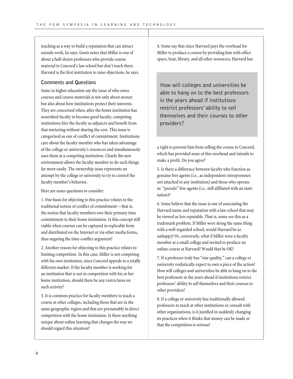teaching as a way to build a reputation that can attract outside work, he says. Goetz notes that Miller is one of about a half-dozen professors who provide course material to Concord's law school but don't teach there. Harvard is the first institution to raise objections, he says.

#### **Comments and Questions**

Some in higher education say the issue of who owns courses and course materials is not only about money but also about how institutions protect their interests. They are concerned when, after the home institution has nourished faculty to become good faculty, competing institutions hire the faculty as adjuncts and benefit from that nurturing without sharing the cost. This issue is categorized as one of conflict of commitment. Institutions care about the faculty member who has taken advantage of the college or university's resources and simultaneously uses them at a competing institution. Clearly the new environment allows the faculty member to do such things far more easily. The ownership issue represents an attempt by the college or university to try to control the faculty member's behavior.

Here are some questions to consider:

1. One basis for objecting to this practice relates to the traditional notion of conflict of commitment—that is, the notion that faculty members owe their primary time commitment to their home institution. Is this concept still viable when courses can be captured in replicable form and distributed on the Internet or via other media forms, thus negating the time-conflict argument?

2. Another reason for objecting to this practice relates to limiting competition. In this case, Miller is not competing with his own institution, since Concord appeals to a totally different market. If the faculty member is working for an institution that is not in competition with his or her home institution, should there be any restrictions on such activity?

3. It is common practice for faculty members to teach a course at other colleges, including those that are in the same geographic region and that are presumably in direct competition with the home institution. Is there anything unique about online learning that changes the way we should regard this situation?

4. Some say that since Harvard pays the overhead for Miller to produce a course by providing him with office space, heat, library, and all other resources, Harvard has

How will colleges and universities be able to hang on to the best professors in the years ahead if institutions restrict professors' ability to sell themselves and their courses to other providers?

a right to prevent him from selling the course to Concord, which has provided none of this overhead and intends to make a profit. Do you agree?

5. Is there a difference between faculty who function as genuine free agents (i.e., as independent entrepreneurs not attached to any institution) and those who operate as "pseudo" free agents (i.e., still affiliated with an institution)?

6. Some believe that the issue is one of associating the Harvard name and reputation with a law school that may be viewed as less reputable. That is, some see this as a trademark problem. If Miller were doing the same thing with a well-regarded school, would Harvard be as unhappy? Or, conversely, what if Miller were a faculty member at a small college and invited to produce an online course at Harvard? Would that be OK?

7. If a professor truly has "star quality," can a college or university realistically expect to own a piece of the action? How will colleges and universities be able to hang on to the best professors in the years ahead if institutions restrict professors' ability to sell themselves and their courses to other providers?

8. If a college or university has traditionally allowed professors to teach at other institutions or consult with other organizations, is it justified in suddenly changing its practices when it thinks that money can be made or that the competition is serious?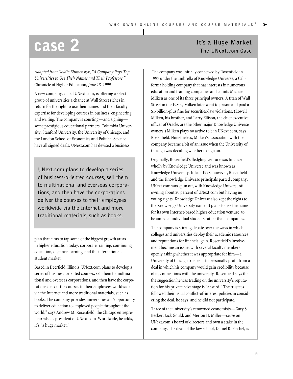*Adapted from Goldie Blumenstyk, "A Company Pays Top Universities to Use Their Names and Their Professors,"* Chronicle of Higher Education, *June 18, 1999.*

A new company, called UNext.com, is offering a select group of universities a chance at Wall Street riches in return for the right to use their names and their faculty expertise for developing courses in business, engineering, and writing. The company is courting—and signing some prestigious educational partners. Columbia University, Stanford University, the University of Chicago, and the London School of Economics and Political Science have all signed deals. UNext.com has devised a business

UNext.com plans to develop a series of business-oriented courses, sell them to multinational and overseas corporations, and then have the corporations deliver the courses to their employees worldwide via the Internet and more traditional materials, such as books.

plan that aims to tap some of the biggest growth areas in higher education today: corporate training, continuing education, distance learning, and the internationalstudent market.

Based in Deerfield, Illinois, UNext.com plans to develop a series of business-oriented courses, sell them to multinational and overseas corporations, and then have the corporations deliver the courses to their employees worldwide via the Internet and more traditional materials, such as books. The company provides universities an "opportunity to deliver education to employed people throughout the world," says Andrew M. Rosenfield, the Chicago entrepreneur who is president of UNext.com. Worldwide, he adds, it's "a huge market."

## **Case 2 It's a Huge Market Case**

The company was initially conceived by Rosenfield in 1997 under the umbrella of Knowledge Universe, a California holding company that has interests in numerous education and training companies and counts Michael Milken as one of its three principal owners. A titan of Wall Street in the 1980s, Milken later went to prison and paid a \$1-billion-plus fine for securities-law violations. (Lowell Milken, his brother, and Larry Ellison, the chief executive officer of Oracle, are the other major Knowledge Universe owners.) Milken plays no active role in UNext.com, says Rosenfield. Nonetheless, Milken's association with the company became a bit of an issue when the University of Chicago was deciding whether to sign on.

Originally, Rosenfield's fledgling venture was financed wholly by Knowledge Universe and was known as Knowledge University. In late 1998, however, Rosenfield and the Knowledge Universe principals parted company; UNext.com was spun off, with Knowledge Universe still owning about 20 percent of UNext.com but having no voting rights. Knowledge Universe also kept the rights to the Knowledge University name. It plans to use the name for its own Internet-based higher education venture, to be aimed at individual students rather than companies.

The company is stirring debate over the ways in which colleges and universities deploy their academic resources and reputations for financial gain. Rosenfield's involvement became an issue, with several faculty members openly asking whether it was appropriate for him—a University of Chicago trustee—to personally profit from a deal in which his company would gain credibility because of its connections with the university. Rosenfield says that the suggestion he was trading on the university's reputation for his private advantage is "absurd." The trustees followed their usual conflict-of-interest policies in considering the deal, he says, and he did not participate.

Three of the university's renowned economists—Gary S. Becker, Jack Gould, and Merton H. Miller—serve on UNext.com's board of directors and own a stake in the company. The dean of the law school, Daniel R. Fischel, is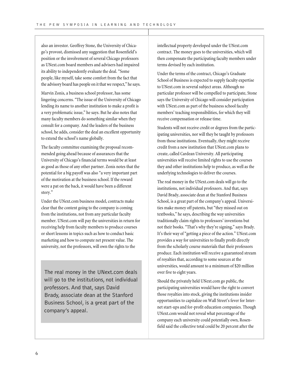also an investor. Geoffrey Stone, the University of Chicago's provost, dismissed any suggestion that Rosenfield's position or the involvement of several Chicago professors as UNext.com board members and advisers had impaired its ability to independently evaluate the deal. "Some people, like myself, take some comfort from the fact that the advisory board has people on it that we respect," he says.

Marvin Zonis, a business school professor, has some lingering concerns. "The issue of the University of Chicago lending its name to another institution to make a profit is a very problematic issue," he says. But he also notes that many faculty members do something similar when they consult for a company. And the leaders of the business school, he adds, consider the deal an excellent opportunity to extend the school's name globally.

The faculty committee examining the proposal recommended going ahead because of assurances that the University of Chicago's financial terms would be at least as good as those of any other partner. Zonis notes that the potential for a big payoff was also "a very important part of the motivation at the business school. If the reward were a pat on the back, it would have been a different story."

Under the UNext.com business model, contracts make clear that the content going to the company is coming from the institutions, not from any particular faculty member. UNext.com will pay the universities in return for receiving help from faculty members to produce courses or short lessons in topics such as how to conduct basic marketing and how to compute net present value. The university, not the professors, will own the rights to the

The real money in the UNext.com deals will go to the institutions, not individual professors. And that, says David Brady, associate dean at the Stanford Business School, is a great part of the company's appeal.

intellectual property developed under the UNext.com contract. The money goes to the universities, which will then compensate the participating faculty members under terms devised by each institution.

Under the terms of the contract, Chicago's Graduate School of Business is expected to supply faculty expertise to UNext.com in several subject areas. Although no particular professor will be compelled to participate, Stone says the University of Chicago will consider participation with UNext.com as part of the business school faculty members' teaching responsibilities, for which they will receive compensation or release time.

Students will not receive credit or degrees from the participating universities, nor will they be taught by professors from those institutions. Eventually, they might receive credit from a new institution that UNext.com plans to create, called Cardean University. All participating universities will receive limited rights to use the courses they and other institutions help to produce, as well as the underlying technologies to deliver the courses.

The real money in the UNext.com deals will go to the institutions, not individual professors. And that, says David Brady, associate dean at the Stanford Business School, is a great part of the company's appeal. Universities make money off patents, but "they missed out on textbooks," he says, describing the way universities traditionally claim rights to professors' inventions but not their books. "That's why they're signing," says Brady. It's their way of "getting a piece of the action." UNext.com provides a way for universities to finally profit directly from the scholarly course materials that their professors produce. Each institution will receive a guaranteed stream of royalties that, according to some sources at the universities, would amount to a minimum of \$20 million over five to eight years.

Should the privately held UNext.com go public, the participating universities would have the right to convert those royalties into stock, giving the institutions insider opportunities to capitalize on Wall Street's fever for Internet start-ups and for-profit education companies. Though UNext.com would not reveal what percentage of the company each university could potentially own, Rosenfield said the collective total could be 20 percent after the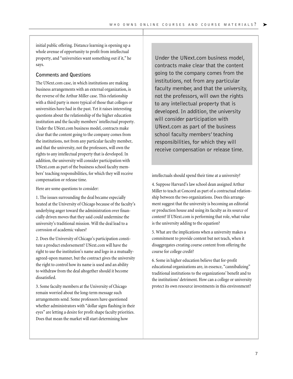initial public offering. Distance learning is opening up a whole avenue of opportunity to profit from intellectual property, and "universities want something out if it," he says.

#### **Comments and Questions**

The UNext.com case, in which institutions are making business arrangements with an external organization, is the reverse of the Arthur Miller case. This relationship with a third party is more typical of those that colleges or universities have had in the past. Yet it raises interesting questions about the relationship of the higher education institution and the faculty members' intellectual property. Under the UNext.com business model, contracts make clear that the content going to the company comes from the institutions, not from any particular faculty member, and that the university, not the professors, will own the rights to any intellectual property that is developed. In addition, the university will consider participation with UNext.com as part of the business school faculty members' teaching responsibilities, for which they will receive compensation or release time.

Here are some questions to consider:

1. The issues surrounding the deal became especially heated at the University of Chicago because of the faculty's underlying anger toward the administration over financially driven moves that they said could undermine the university's traditional mission. Will the deal lead to a corrosion of academic values?

2. Does the University of Chicago's participation constitute a product endorsement? UNext.com will have the right to use the institution's name and logo in a mutuallyagreed-upon manner, but the contract gives the university the right to control how its name is used and an ability to withdraw from the deal altogether should it become dissatisfied.

3. Some faculty members at the University of Chicago remain worried about the long-term message such arrangements send. Some professors have questioned whether administrators with "dollar signs flashing in their eyes" are letting a desire for profit shape faculty priorities. Does that mean the market will start determining how

Under the UNext.com business model, contracts make clear that the content going to the company comes from the institutions, not from any particular faculty member, and that the university, not the professors, will own the rights to any intellectual property that is developed. In addition, the university will consider participation with UNext.com as part of the business school faculty members' teaching responsibilities, for which they will receive compensation or release time.

intellectuals should spend their time at a university?

4. Suppose Harvard's law school dean assigned Arthur Miller to teach at Concord as part of a contractual relationship between the two organizations. Does this arrangement suggest that the university is becoming an editorial or production house and using its faculty as its source of content? If UNext.com is performing that role, what value is the university adding to the equation?

5. What are the implications when a university makes a commitment to provide content but not teach, when it disaggregates creating course content from offering the course for college credit?

6. Some in higher education believe that for-profit educational organizations are, in essence, "cannibalizing" traditional institutions to the organizations' benefit and to the institutions' detriment. How can a college or university protect its own resource investments in this environment?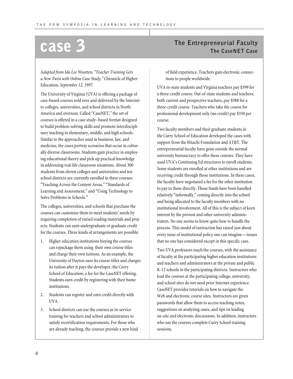*Adapted from Ida Lee Wootten, "Teacher Training Gets a New Twist with Online Case Study,"* Chronicle of Higher Education, *September 12, 1997.*

The University of Virginia (UVA) is offering a package of case-based courses sold over and delivered by the Internet to colleges, universities, and school districts in North America and overseas. Called "CaseNET," the set of courses is offered in a case study–based format designed to build problem-solving skills and promote interdisciplinary teaching in elementary, middle, and high schools. Similar to the approaches used in business, law, and medicine, the cases portray scenarios that occur in culturally diverse classrooms. Students gain practice in employing educational theory and pick up practical knowledge in addressing real-life classroom situations. About 300 students from eleven colleges and universities and ten school districts are currently enrolled in three courses: "Teaching Across the Content Areas,""Standards of Learning and Assessment," and "Using Technology to Solve Problems in Schools."

The colleges, universities, and schools that purchase the courses can customize them to meet students' needs by requiring completion of varied reading materials and projects. Students can earn undergraduate or graduate credit for the courses. Three kinds of arrangements are possible:

- 1. Higher education institutions buying the courses can repackage them using their own course titles and charge their own tuitions. As an example, the University of Dayton uses its course titles and charges its tuition after it pays the developer, the Curry School of Education, a fee for the CaseNET offering. Students earn credit by registering with their home institutions.
- 2. Students can register and earn credit directly with UVA.
- 3. School districts can use the courses as in-service training for teachers and school administrators to satisfy recertification requirements. For those who are already teaching, the courses provide a new kind

## **The Entrepreneurial Faculty case 3 The CaseNET Case**

of field experience. Teachers gain electronic connections to people worldwide.

UVA in-state students and Virginia teachers pay \$399 for a three-credit course. Out-of-state students and teachers, both current and prospective teachers, pay \$588 for a three-credit course. Teachers who take the course for professional development only (no credit) pay \$350 per course.

Two faculty members and their graduate students in the Curry School of Education developed the cases with support from the Hitachi Foundation and AT&T. The entrepreneurial faculty have gone outside the normal university bureaucracy to offer these courses. They have used UVA's Continuing Ed structures to enroll students. Some students are enrolled at other institutions and are receiving credit through those institutions. In these cases, the faculty have negotiated a fee for the other institution to pay to them directly. Those funds have been handled relatively "informally," coming directly into the school and being allocated to the faculty members with no institutional involvement. All of this is the subject of keen interest by the provost and other university administrators. No one seems to know quite how to handle the process. This model of instruction has raised just about every issue of institutional policy one can imagine—issues that no one has considered except in this specific case.

Two UVA professors teach the courses, with the assistance of faculty at the participating higher education institutions and teachers and administrators at the private and public K-12 schools in the participating districts. Instructors who lead the courses at the participating college, university, and school sites do not need prior Internet experience. CaseNET provides tutorials on how to navigate the Web and electronic course sites. Instructors are given passwords that allow them to access teaching notes, suggestions on analyzing cases, and tips on leading on-site and electronic discussions. In addition, instructors who use the courses complete Curry School training sessions.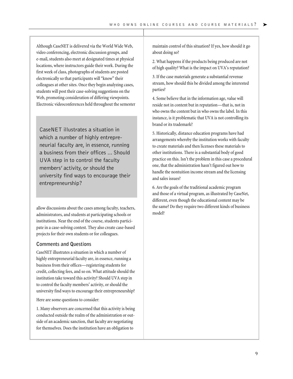Although CaseNET is delivered via the World Wide Web, video conferencing, electronic discussion groups, and e-mail, students also meet at designated times at physical locations, where instructors guide their work. During the first week of class, photographs of students are posted electronically so that participants will "know" their colleagues at other sites. Once they begin analyzing cases, students will post their case-solving suggestions on the Web, promoting consideration of differing viewpoints. Electronic videoconferences held throughout the semester

CaseNET illustrates a situation in which a number of highly entrepreneurial faculty are, in essence, running a business from their offices ... Should UVA step in to control the faculty members' activity, or should the university find ways to encourage their entrepreneurship?

allow discussions about the cases among faculty, teachers, administrators, and students at participating schools or institutions. Near the end of the course, students participate in a case-solving contest. They also create case-based projects for their own students or for colleagues.

#### **Comments and Questions**

CaseNET illustrates a situation in which a number of highly entrepreneurial faculty are, in essence, running a business from their offices—registering students for credit, collecting fees, and so on. What attitude should the institution take toward this activity? Should UVA step in to control the faculty members' activity, or should the university find ways to encourage their entrepreneurship?

Here are some questions to consider:

1. Many observers are concerned that this activity is being conducted outside the realm of the administration or outside of an academic sanction, that faculty are negotiating for themselves. Does the institution have an obligation to

maintain control of this situation? If yes, how should it go about doing so?

2. What happens if the products being produced are not of high quality? What is the impact on UVA's reputation?

3. If the case materials generate a substantial revenue stream, how should this be divided among the interested parties?

4. Some believe that in the information age, value will reside not in content but in reputation—that is, not in who owns the content but in who owns the label. In this instance, is it problematic that UVA is not controlling its brand or its trademark?

5. Historically, distance education programs have had arrangements whereby the institution works with faculty to create materials and then licenses these materials to other institutions. There is a substantial body of good practice on this. Isn't the problem in this case a procedural one, that the administration hasn't figured out how to handle the nontuition income stream and the licensing and sales issues?

6. Are the goals of the traditional academic program and those of a virtual program, as illustrated by CaseNet, different, even though the educational content may be the same? Do they require two different kinds of business model?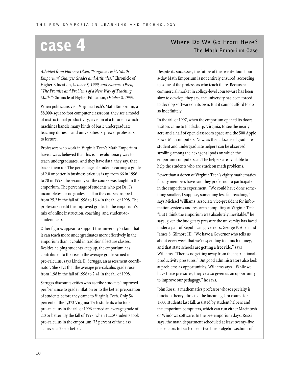*Adapted from Florence Olsen, "Virginia Tech's 'Math Emporium' Changes Grades and Attitudes,"* Chronicle of Higher Education, *October 8, 1999, and Florence Olsen, "The Promise and Problems of a New Way of Teaching Math,"* Chronicle of Higher Education, *October 8, 1999.*

When politicians visit Virginia Tech's Math Emporium, a 58,000-square-foot computer classroom, they see a model of instructional productivity, a vision of a future in which machines handle many kinds of basic undergraduate teaching duties—and universities pay fewer professors to lecture.

Professors who work in Virginia Tech's Math Emporium have always believed that this is a revolutionary way to teach undergraduates. And they have data, they say, that backs them up. The percentage of students earning a grade of 2.0 or better in business calculus is up from 66 in 1996 to 78 in 1998, the second year the course was taught in the emporium. The percentage of students who got Ds, Fs, incompletes, or no grades at all in the course dropped from 25.2 in the fall of 1996 to 16.4 in the fall of 1998. The professors credit the improved grades to the emporium's mix of online instruction, coaching, and student-tostudent help.

Other figures appear to support the university's claim that it can teach more undergraduates more effectively in the emporium than it could in traditional lecture classes. Besides helping students keep up, the emporium has contributed to the rise in the average grade earned in pre-calculus, says Linda H. Scruggs, an assessment coordinator. She says that the average pre-calculus grade rose from 1.98 in the fall of 1996 to 2.41 in the fall of 1998.

Scruggs discounts critics who ascribe students' improved performance to grade inflation or to the better preparation of students before they came to Virginia Tech. Only 54 percent of the 1,373 Virginia Tech students who took pre-calculus in the fall of 1996 earned an average grade of 2.0 or better. By the fall of 1998, when 1,229 students took pre-calculus in the emporium, 73 percent of the class achieved a 2.0 or better.

## **CASE 4 CASE 1 Where Do We Go From Here?**

Despite its successes, the future of the twenty-four-houra-day Math Emporium is not entirely ensured, according to some of the professors who teach there. Because a commercial market in college-level courseware has been slow to develop, they say, the university has been forced to develop software on its own. But it cannot afford to do so indefinitely.

In the fall of 1997, when the emporium opened its doors, visitors came to Blacksburg, Virginia, to see the nearly acre and a half of open classroom space and the 500 Apple PowerMac computers. Now, as then, dozens of graduatestudent and undergraduate helpers can be observed strolling among the hexagonal pods on which the emporium computers sit. The helpers are available to help the students who are stuck on math problems.

Fewer than a dozen of Virginia Tech's eighty mathematics faculty members have said they prefer not to participate in the emporium experiment. "We could have done something smaller, I suppose, something less far-reaching," says Michael Williams, associate vice-president for information systems and research computing at Virginia Tech. "But I think the emporium was absolutely inevitable," he says, given the budgetary pressure the university has faced under a pair of Republican governors, George F. Allen and James S. Gilmore III. "We have a Governor who tells us about every week that we're spending too much money, and that state schools are getting a free ride," says Williams. "There's no getting away from the instructionalproductivity pressures." But good administrators also look at problems as opportunities, Williams says. "While we have these pressures, they've also given us an opportunity to improve our pedagogy," he says.

John Rossi, a mathematics professor whose specialty is function theory, directed the linear algebra course for 1,600 students last fall, assisted by student helpers and the emporium computers, which can run either Macintosh or Windows software. In the pre-emporium days, Rossi says, the math department scheduled at least twenty-five instructors to teach one or two linear algebra sections of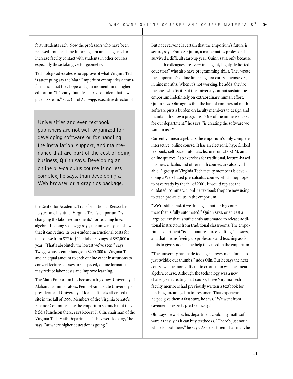forty students each. Now the professors who have been released from teaching linear algebra are being used to increase faculty contact with students in other courses, especially those taking vector geometry.

Technology advocates who approve of what Virginia Tech is attempting say the Math Emporium exemplifies a transformation that they hope will gain momentum in higher education. "It's early, but I feel fairly confident that it will pick up steam," says Carol A. Twigg, executive director of

Universities and even textbook publishers are not well organized for developing software or for handling the installation, support, and maintenance that are part of the cost of doing business, Quinn says. Developing an online pre-calculus course is no less complex, he says, than developing a Web browser or a graphics package.

the Center for Academic Transformation at Rensselaer Polytechnic Institute. Virginia Tech's emporium "is changing the labor requirements" for teaching linear algebra. In doing so, Twigg says, the university has shown that it can reduce its per-student instructional costs for the course from \$77 to \$24, a labor savings of \$97,000 a year. "That's absolutely the lowest we've seen," says Twigg, whose center has given \$200,000 to Virginia Tech and an equal amount to each of nine other institutions to convert lecture courses to self-paced, online formats that may reduce labor costs and improve learning.

The Math Emporium has become a big draw. University of Alabama administrators, Pennsylvania State University's president, and University of Idaho officials all visited the site in the fall of 1999. Members of the Virginia Senate's Finance Committee like the emporium so much that they held a luncheon there, says Robert F. Olin, chairman of the Virginia Tech Math Department. "They were looking," he says, "at where higher education is going."

But not everyone is certain that the emporium's future is secure, says Frank S. Quinn, a mathematics professor. It survived a difficult start-up year, Quinn says, only because his math colleagues are "very intelligent, highly dedicated educators" who also have programming skills. They wrote the emporium's online linear algebra course themselves, in nine months. When it's not working, he adds, they're the ones who fix it. But the university cannot sustain the emporium indefinitely on extraordinary human effort, Quinn says. Olin agrees that the lack of commercial math software puts a burden on faculty members to design and maintain their own programs. "One of the immense tasks for our department," he says, "is creating the software we want to use."

Currently, linear algebra is the emporium's only complete, interactive, online course. It has an electronic hyperlinked textbook, self-paced tutorials, lectures on CD-ROM, and online quizzes. Lab exercises for traditional, lecture-based business calculus and other math courses are also available. A group of Virginia Tech faculty members is developing a Web-based pre-calculus course, which they hope to have ready by the fall of 2001. It would replace the outdated, commercial online textbook they are now using to teach pre-calculus in the emporium.

"We're still at risk if we don't get another big course in there that is fully automated," Quinn says, or at least a large course that is sufficiently automated to release additional instructors from traditional classrooms. The emporium experiment "is all about resource-shifting," he says, and that means freeing up professors and teaching assistants to give students the help they need in the emporium.

"The university has made too big an investment for us to just twiddle our thumbs," adds Olin. But he says the next course will be more difficult to create than was the linear algebra course. Although the technology was a new challenge in creating that course, three Virginia Tech faculty members had previously written a textbook for teaching linear algebra to freshmen. That experience helped give them a fast start, he says. "We went from cavemen to experts pretty quickly."

Olin says he wishes his department could buy math software as easily as it can buy textbooks. "There's just not a whole lot out there," he says. As department chairman, he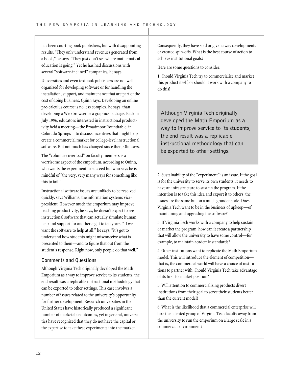has been courting book publishers, but with disappointing results. "They only understand revenues generated from a book," he says. "They just don't see where mathematical education is going." Yet he has had discussions with several "software-inclined" companies, he says.

Universities and even textbook publishers are not well organized for developing software or for handling the installation, support, and maintenance that are part of the cost of doing business, Quinn says. Developing an online pre-calculus course is no less complex, he says, than developing a Web browser or a graphics package. Back in July 1996, educators interested in instructional productivity held a meeting—the Broadmoor Roundtable, in Colorado Springs—to discuss incentives that might help create a commercial market for college-level instructional software. But not much has changed since then, Olin says.

The "voluntary overload" on faculty members is a worrisome aspect of the emporium, according to Quinn, who wants the experiment to succeed but who says he is mindful of "the very, very many ways for something like this to fail."

Instructional software issues are unlikely to be resolved quickly, says Williams, the information systems vicepresident. However much the emporium may improve teaching productivity, he says, he doesn't expect to see instructional software that can actually simulate human help and support for another eight to ten years. "If we want the software to help at all," he says, "it's got to understand how students might misconceive what is presented to them—and to figure that out from the student's response. Right now, only people do that well."

#### **Comments and Questions**

Although Virginia Tech originally developed the Math Emporium as a way to improve service to its students, the end result was a replicable instructional methodology that can be exported to other settings. This case involves a number of issues related to the university's opportunity for further development. Research universities in the United States have historically produced a significant number of marketable outcomes, yet in general, universities have recognized that they do not have the capital or the expertise to take these experiments into the market.

Consequently, they have sold or given away developments or created spin-offs. What is the best course of action to achieve institutional goals?

Here are some questions to consider:

1. Should Virginia Tech try to commercialize and market this product itself, or should it work with a company to do this?

Although Virginia Tech originally developed the Math Emporium as a way to improve service to its students, the end result was a replicable instructional methodology that can be exported to other settings.

2. Sustainability of the "experiment" is an issue. If the goal is for the university to serve its own students, it needs to have an infrastructure to sustain the program. If the intention is to take this idea and export it to others, the issues are the same but on a much grander scale. Does Virginia Tech want to be in the business of upkeep—of maintaining and upgrading the software?

3. If Virginia Tech works with a company to help sustain or market the program, how can it create a partnership that will allow the university to have some control—for example, to maintain academic standards?

4. Other institutions want to replicate the Math Emporium model. This will introduce the element of competition that is, the commercial world will have a choice of institutions to partner with. Should Virginia Tech take advantage of its first-to-market position?

5. Will attention to commercializing products divert institutions from their goal to serve their students better than the current model?

6. What is the likelihood that a commercial enterprise will hire the talented group of Virginia Tech faculty away from the university to run the emporium on a large scale in a commercial environment?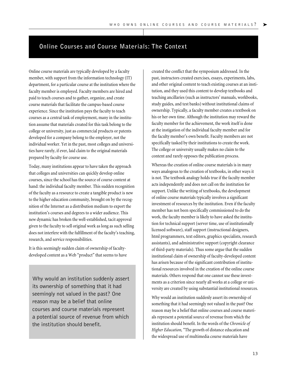#### **Online Courses and Course Materials: The Context**

Online course materials are typically developed by a faculty member, with support from the information technology (IT) department, for a particular course at the institution where the faculty member is employed. Faculty members are hired and paid to teach courses and to gather, organize, and create course materials that facilitate the campus-based course experience. Since the institution pays the faculty to teach courses as a central task of employment, many in the institution assume that materials created for this task belong to the college or university, just as commercial products or patents developed for a company belong to the employer, not the individual worker. Yet in the past, most colleges and universities have rarely, if ever, laid claim to the original materials prepared by faculty for course use.

Today, many institutions appear to have taken the approach that colleges and universities can quickly develop online courses, since the school has the source of course content at hand: the individual faculty member. This sudden recognition of the faculty as a resource to create a tangible product is new to the higher education community, brought on by the recognition of the Internet as a distribution medium to export the institution's courses and degrees to a wider audience. This new dynamic has broken the well-established, tacit approval given to the faculty to sell original work as long as such selling does not interfere with the fulfillment of the faculty's teaching, research, and service responsibilities.

It is this seemingly sudden claim of ownership of facultydeveloped content as a Web "product" that seems to have

Why would an institution suddenly assert its ownership of something that it had seemingly not valued in the past? One reason may be a belief that online courses and course materials represent a potential source of revenue from which the institution should benefit.

created the conflict that the symposium addressed. In the past, instructors created exercises, essays, experiments, labs, and other original content to teach existing courses at an institution, and they used this content to develop textbooks and teaching ancillaries (such as instructors' manuals, workbooks, study guides, and test banks) without institutional claims of ownership. Typically, a faculty member creates a textbook on his or her own time. Although the institution may reward the faculty member for the achievement, the work itself is done at the instigation of the individual faculty member and for the faculty member's own benefit. Faculty members are not specifically tasked by their institutions to create the work. The college or university usually makes no claim to the content and rarely opposes the publication process.

Whereas the creation of online course materials is in many ways analogous to the creation of textbooks, in other ways it is not. The textbook analogy holds true if the faculty member acts independently and does not call on the institution for support. Unlike the writing of textbooks, the development of online course materials typically involves a significant investment of resources by the institution. Even if the faculty member has not been specifically commissioned to do the work, the faculty member is likely to have asked the institution for technical support (server time, use of institutionally licensed software), staff support (instructional designers, html programmers, text editors, graphics specialists, research assistants), and administrative support (copyright clearance of third-party materials). Thus some argue that the sudden institutional claim of ownership of faculty-developed content has arisen because of the significant contribution of institutional resources involved in the creation of the online course materials. Others respond that one cannot use these investments as a criterion since nearly all works at a college or university are created by using substantial institutional resources.

Why would an institution suddenly assert its ownership of something that it had seemingly not valued in the past? One reason may be a belief that online courses and course materials represent a potential source of revenue from which the institution should benefit. In the words of the *Chronicle of Higher Education,*"The growth of distance education and the widespread use of multimedia course materials have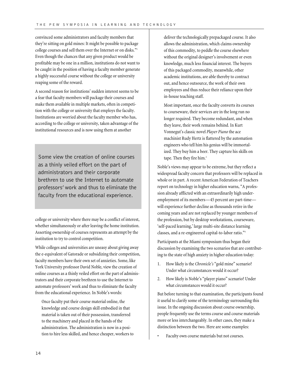convinced some administrators and faculty members that they're sitting on gold mines: It might be possible to package college courses and sell them over the Internet or on disks."1 Even though the chances that any given product would be profitable may be one in a million, institutions do not want to be caught in the position of having a faculty member generate a highly successful course without the college or university reaping some of the reward.

A second reason for institutions' sudden interest seems to be a fear that faculty members will package their courses and make them available in multiple markets, often in competition with the college or university that employs the faculty. Institutions are worried about the faculty member who has, according to the college or university, taken advantage of the institutional resources and is now using them at another

Some view the creation of online courses as a thinly veiled effort on the part of administrators and their corporate brethren to use the Internet to automate professors' work and thus to eliminate the faculty from the educational experience.

college or university where there may be a conflict of interest, whether simultaneously or after leaving the home institution. Asserting ownership of courses represents an attempt by the institution to try to control competition.

While colleges and universities are uneasy about giving away the e-equivalent of Gatorade or subsidizing their competition, faculty members have their own set of anxieties. Some, like York University professor David Noble, view the creation of online courses as a thinly veiled effort on the part of administrators and their corporate brethren to use the Internet to automate professors' work and thus to eliminate the faculty from the educational experience. In Noble's words:

Once faculty put their course material online, the knowledge and course design skill embodied in that material is taken out of their possession, transferred to the machinery and placed in the hands of the administration. The administration is now in a position to hire less skilled, and hence cheaper, workers to deliver the technologically prepackaged course. It also allows the administration, which claims ownership of this commodity, to peddle the course elsewhere without the original designer's involvement or even knowledge, much less financial interest. The buyers of this packaged commodity, meanwhile, other academic institutions, are able thereby to contract out, and hence outsource, the work of their own employees and thus reduce their reliance upon their in-house teaching staff.

Most important, once the faculty converts its courses to courseware, their services are in the long run no longer required. They become redundant, and when they leave, their work remains behind. In Kurt Vonnegut's classic novel *Player Piano* the ace machinist Rudy Hertz is flattered by the automation engineers who tell him his genius will be immortalized. They buy him a beer. They capture his skills on tape. Then they fire him.<sup>2</sup>

Noble's views may appear to be extreme, but they reflect a widespread faculty concern that professors will be replaced in whole or in part. A recent American Federation of Teachers report on technology in higher education warns, "A profession already afflicted with an extraordinarily high underemployment of its members—45 percent are part-time will experience further decline as thousands retire in the coming years and are not replaced by younger members of the profession, but by desktop workstations, courseware, 'self-paced learning,' large multi-site distance learning classes, and a re-engineered capital-to-labor ratio."3

Participants at the Miami symposium thus began their discussion by examining the two scenarios that are contributing to the state of high anxiety in higher education today:

- 1. How likely is the *Chronicle's*"gold mine" scenario? Under what circumstances would it occur?
- 2. How likely is Noble's "player piano" scenario? Under what circumstances would it occur?

But before turning to that examination, the participants found it useful to clarify some of the terminology surrounding this issue. In the ongoing discussion about course ownership, people frequently use the terms course and course materials more or less interchangeably. In other cases, they make a distinction between the two. Here are some examples:

Faculty own course materials but not courses.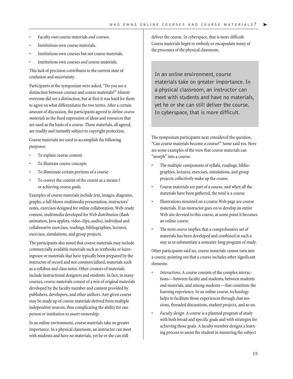- Faculty own course materials *and* courses.
- Institutions own course materials.
- Institutions own courses but not course materials.
- Institutions own courses *and* course materials.

This lack of precision contributes to the current state of confusion and uncertainty.

Participants at the symposium were asked, "Do you see a distinction between courses and course materials?" Almost everyone did see a distinction, but at first it was hard for them to agree on what differentiates the two terms. After a certain amount of discussion, the participants agreed to define *course materials* as the fixed expression of ideas and resources that are used as the basis of a course. These materials, all agreed, are readily and instantly subject to copyright protection.

Course materials are used to accomplish the following purposes:

- To explain course content
- To illustrate course concepts
- To illuminate certain portions of a course
- To convey the content of the course as a means f or achieving course goals

Examples of course materials include text, images, diagrams, graphs, a full-blown multimedia presentation, instructors' notes, exercises designed for online collaboration, Web-ready content, multimedia developed for Web distribution (flash animation, Java applets, video clips, audio), individual and collaborative exercises, readings, bibliographies, lectures, exercises, simulations, and group projects.

The participants also noted that course materials may include commercially available materials such as textbooks or learningware or materials that have typically been prepared by the instructor of record and not commercialized, materials such as a syllabus and class notes. Other creators of materials include instructional designers and students. In fact, in many courses, course materials consist of a mix of original materials developed by the faculty member and content provided by publishers, developers, and other authors. Any given course may be made up of course materials derived from multiple independent sources, thus complicating the ability for one person or institution to assert ownership.

In an online environment, course materials take on greater importance. In a physical classroom, an instructor can meet with students and have no materials, yet he or she can still

deliver the course. In cyberspace, that is more difficult. Course materials begin to embody or encapsulate many of the processes of the physical classroom.

In an online environment, course materials take on greater importance. In a physical classroom, an instructor can meet with students and have no materials, yet he or she can still deliver the course. In cyberspace, that is more difficult.

The symposium participants next considered the question, "Can course materials become a course?" Some said yes. Here are some examples of the view that course materials can "morph" into a course:

- The multiple components of syllabi, readings, bibliographies, lectures, exercises, simulations, and group projects collectively make up the course.
- Course materials are part of a course, and when all the materials have been gathered, the total is a course.
- Illustrations mounted on a course Web page are course materials. If an instructor goes on to develop an entire Web site devoted to this course, at some point it becomes an online course.
- The term *course* implies that a comprehensive set of materials has been developed and combined in such a way as to substantiate a semester-long program of study.

Other participants said no, course materials cannot turn into a course, pointing out that a course includes other significant elements:

- Interactions. A course consists of the complex interactions—between faculty and students, between students and materials, and among students—that constitute the learning experience. In an online course, technology helps to facilitate those experiences through chat sessions, threaded discussions, student projects, and so on.
- *Faculty design.* A course is a planned program of study with both broad and specific goals and with strategies for achieving those goals. A faculty member designs a learning process to assist the student in mastering the subject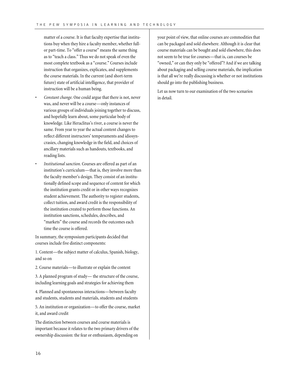matter of a course. It is that faculty expertise that institutions buy when they hire a faculty member, whether fullor part-time. To "offer a course" means the same thing as to "teach a class." Thus we do not speak of even the most complete textbook as a "course." Courses include instruction that organizes, explicates, and supplements the course materials. In the current (and short-term future) state of artificial intelligence, that provider of instruction will be a human being.

- *Constant change.* One could argue that there is not, never was, and never will be a course—only instances of various groups of individuals joining together to discuss, and hopefully learn about, some particular body of knowledge. Like Heraclitus's river, a course is never the same. From year to year the actual content changes to reflect different instructors' temperaments and idiosyncrasies, changing knowledge in the field, and choices of ancillary materials such as handouts, textbooks, and reading lists.
- *Institutional sanction.* Courses are offered as part of an institution's curriculum—that is, they involve more than the faculty member's design. They consist of an institutionally defined scope and sequence of content for which the institution grants credit or in other ways recognizes student achievement. The authority to register students, collect tuition, and award credit is the responsibility of the institution created to perform those functions. An institution sanctions, schedules, describes, and "markets" the course and records the outcomes each time the course is offered.

In summary, the symposium participants decided that courses include five distinct components:

1. Content—the subject matter of calculus, Spanish, biology, and so on

2. Course materials—to illustrate or explain the content

3. A planned program of study— the structure of the course, including learning goals and strategies for achieving them

4. Planned and spontaneous interactions—between faculty and students, students and materials, students and students

5. An institution or organization—to offer the course, market it, and award credit

The distinction between courses and course materials is important because it relates to the two primary drivers of the ownership discussion: the fear or enthusiasm, depending on

your point of view, that online courses are commodities that can be packaged and sold elsewhere. Although it is clear that course materials can be bought and sold elsewhere, this does not seem to be true for courses—that is, can courses be "owned," or can they only be "offered"? And if we are talking about packaging and selling course materials, the implication is that all we're really discussing is whether or not institutions should go into the publishing business.

Let us now turn to our examination of the two scenarios in detail.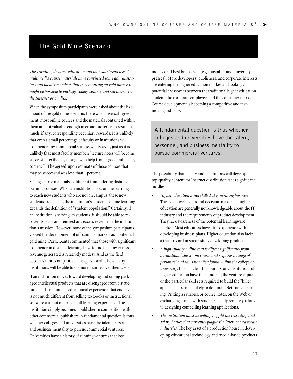### **The Gold Mine Scenario**

*The growth of distance education and the widespread use of multimedia course materials have convinced some administrators and faculty members that they're sitting on gold mines: It might be possible to package college courses and sell them over the Internet or on disks.*

When the symposium participants were asked about the likelihood of the gold mine scenario, there was universal agreement: most online courses and the materials contained within them are not valuable enough in economic terms to result in much, if any, corresponding pecuniary rewards. It is unlikely that even a small percentage of faculty or institutions will experience any commercial success whatsoever, just as it is unlikely that most faculty members' lecture notes will become successful textbooks, though with help from a good publisher, some will. The agreed-upon estimate of those courses that may be successful was less than 1 percent.

Selling course materials is different from offering distancelearning courses. When an institution uses online learning to reach new students who are not on campus, these new students are, in fact, the institution's students. online learning expands the definition of "student population." Certainly, if an institution is serving its students, it should be able to recover its costs and reinvest any excess revenue in the institution's mission. However, none of the symposium participants viewed the development of off-campus markets as a potential gold mine. Participants commented that those with significant experience in distance learning have found that any excess revenue generated is relatively modest. And as the field becomes more competitive, it is questionable how many institutions will be able to do more than recover their costs.

If an institution moves toward developing and selling packaged intellectual products that are disengaged from a structured and accountable educational experience, that endeavor is not much different from selling textbooks or instructional software without offering a full learning experience. The institution simply becomes a publisher in competition with other commercial publishers. A fundamental question is thus whether colleges and universities have the talent, personnel, and business mentality to pursue commercial ventures. Universities have a history of running ventures that lose

money or at best break even (e.g., hospitals and university presses). More developers, publishers, and corporate interests are entering the higher education market and looking at potential crossovers between the traditional higher education student, the corporate employee, and the consumer market. Course development is becoming a competitive and fastmoving industry.

A fundamental question is thus whether colleges and universities have the talent, personnel, and business mentality to pursue commercial ventures.

The possibility that faculty and institutions will develop top-quality content for Internet distribution faces significant hurdles:

- *Higher education is not skilled at generating business.* The executive leaders and decision-makers in higher education are generally not knowledgeable about the IT industry and the requirements of product development. They lack awareness of the potential learningware market. Most educators have little experience with developing business plans. Higher education also lacks a track record in successfully developing products.
- *A high-quality online course differs significantly from a traditional classroom course and requires a range of personnel and skills not often found within the college or university.* It is not clear that our historic institutions of higher education have the mind-set, the venture capital, or the particular skill sets required to build the "killer apps" that are most likely to dominate Net-based learning. Putting a syllabus, or course notes, on the Web or exchanging e-mail with students is only remotely related to designing compelling learning applications.
- *The institution must be willing to fight the recruiting and salary battles that currently plague the Internet and media industries.* The key asset of a production house in developing educational technology and media-based products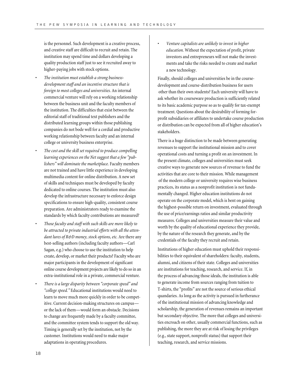is the personnel. Such development is a creative process, and creative staff are difficult to recruit and retain. The institution may spend time and dollars developing a quality production staff just to see it recruited away to higher-paying jobs with stock options.

- *The institution must establish a strong businessdevelopment staff and an incentive structure that is foreign to most colleges and universities.* An internal commercial venture will rely on a working relationship between the business unit and the faculty members of the institution. The difficulties that exist between the editorial staff of traditional text publishers and the distributed learning groups within those publishing companies do not bode well for a cordial and productive working relationship between faculty and an internal college or university business enterprise.
	- *The cost and the skill set required to produce compelling learning experiences on the Net suggest that a few "publishers" will dominate the marketplace.* Faculty members are not trained and have little experience in developing multimedia content for online distribution. A new set of skills and techniques must be developed by faculty dedicated to online courses. The institution must also develop the infrastructure necessary to enforce design specifications to ensure high-quality, consistent course preparation. Are administrators ready to examine the standards by which faculty contributions are measured?
- *Those faculty and staff with such skills are more likely to be attracted to private industrial efforts with all the attendant lures of R&D money, stock options, etc.* Are there any best-selling authors (including faculty authors—Carl Sagan, e.g.) who choose to use the institution to help create, develop, or market their products? Faculty who are major participants in the development of significant online course development projects are likely to do so in an extra-institutional role in a private, commercial venture.
- *There is a large disparity between "corporate speed" and "college speed."* Educational institutions would need to learn to move much more quickly in order to be competitive. Current decision-making structures on campus or the lack of them—would form an obstacle. Decisions to change are frequently made by a faculty committee, and the committee system tends to support the old way. Timing is generally set by the institution, not by the customer. Institutions would need to make major adaptations in operating procedures.

• *Venture capitalists are unlikely to invest in higher education.* Without the expectation of profit, private investors and entrepreneurs will not make the investments and take the risks needed to create and market a new technology.

Finally, should colleges and universities be in the coursedevelopment and course-distribution business for users other than their own students? Each university will have to ask whether its courseware production is sufficiently related to its basic academic purpose so as to qualify for tax-exempt treatment. Questions about the desirability of forming forprofit subsidiaries or affiliates to undertake course production or distribution can be expected from all of higher education's stakeholders.

There is a huge distinction to be made between generating revenues to support the institutional mission and to cover operational costs and turning a profit on an investment. In the present climate, colleges and universities must seek creative ways to generate new sources of revenue to fund the activities that are core to their mission. While management of the modern college or university requires wise business practices, its status as a nonprofit institution is not fundamentally changed. Higher education institutions do not operate on the corporate model, which is bent on gaining the highest-possible return on investment, evaluated through the use of price/earnings ratios and similar productivity measures. Colleges and universities measure their value and worth by the quality of educational experience they provide, by the nature of the research they generate, and by the credentials of the faculty they recruit and retain.

Institutions of higher education must uphold their responsibilities to their equivalent of shareholders: faculty, students, alumni, and citizens of their state. Colleges and universities are institutions for teaching, research, and service. If, in the process of advancing those ideals, the institution is able to generate income from sources ranging from tuition to T-shirts, the "profits" are not the source of serious ethical quandaries. As long as the activity is pursued in furtherance of the institutional mission of advancing knowledge and scholarship, the generation of revenues remains an important but secondary objective. The more that colleges and universities encroach on other, usually commercial functions, such as publishing, the more they are at risk of losing the privileges (e.g., state support, nonprofit status) that support their teaching, research, and service missions.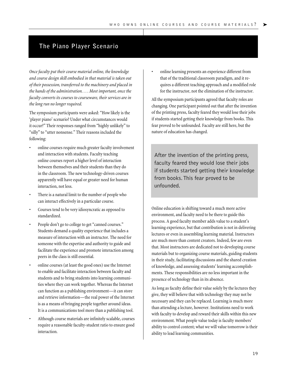### **The Piano Player Scenario**

*Once faculty put their course material online, the knowledge and course design skill embodied in that material is taken out of their possession, transferred to the machinery and placed in the hands of the administration. . . . Most important, once the faculty converts its courses to courseware, their services are in the long run no longer required.* 

The symposium participants were asked: "How likely is the 'player piano' scenario? Under what circumstances would it occur?" Their responses ranged from "highly unlikely" to "silly" to "utter nonsense." Their reasons included the following:

- online courses require much greater faculty involvement and interaction with students. Faculty teaching online courses report a higher level of interaction between themselves and their students than they do in the classroom. The new technology-driven courses apparently will have equal or greater need for human interaction, not less.
- There is a natural limit to the number of people who can interact effectively in a particular course.
- Courses tend to be very idiosyncratic as opposed to standardized.
- People don't go to college to get "canned courses." Students demand a quality experience that includes a measure of interaction with an instructor. The need for someone with the expertise and authority to guide and facilitate the experience and promote interaction among peers in the class is still essential.
- online courses (at least the good ones) use the Internet to enable and facilitate interaction between faculty and students and to bring students into learning communities where they can work together. Whereas the Internet can function as a publishing environment—it can store and retrieve information—the real power of the Internet is as a means of bringing people together around ideas. It is a communications tool more than a publishing tool.
- Although course materials are infinitely scalable, courses require a reasonable faculty-student ratio to ensure good interaction.

• online learning presents an experience different from that of the traditional classroom paradigm, and it requires a different teaching approach and a modified role for the instructor, not the elimination of the instructor.

All the symposium participants agreed that faculty roles are changing. One participant pointed out that after the invention of the printing press, faculty feared they would lose their jobs if students started getting their knowledge from books. This fear proved to be unfounded. Faculty are still here, but the nature of education has changed.

After the invention of the printing press, faculty feared they would lose their jobs if students started getting their knowledge from books.This fear proved to be unfounded.

Online education is shifting toward a much more active environment, and faculty need to be there to guide this process. A good faculty member adds value to a student's learning experience, but that contribution is not in delivering lectures or even in assembling learning material. Instructors are much more than content creators. Indeed, few are even that. Most instructors are dedicated not to developing course materials but to organizing course materials, guiding students in their study, facilitating discussions and the shared creation of knowledge, and assessing students' learning accomplishments. These responsibilities are no less important in the presence of technology than in its absence.

As long as faculty define their value solely by the lectures they give, they will believe that with technology they may not be necessary and they can be replaced. Learning is much more than attending a lecture, however. Institutions need to work with faculty to develop and reward their skills within this new environment. What people value today is faculty members' ability to control content; what we will value tomorrow is their ability to lead learning communities.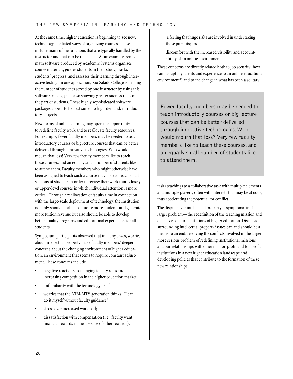At the same time, higher education is beginning to see new, technology-mediated ways of organizing courses. These include many of the functions that are typically handled by the instructor and that can be replicated. As an example, remedial math software produced by Academic Systems organizes course materials, guides students in their study, tracks students' progress, and assesses their learning through interactive testing. In one application, Rio Salado College is tripling the number of students served by one instructor by using this software package; it is also showing greater success rates on the part of students. These highly sophisticated software packages appear to be best suited to high-demand, introductory subjects.

New forms of online learning may open the opportunity to redefine faculty work and to reallocate faculty resources. For example, fewer faculty members may be needed to teach introductory courses or big lecture courses that can be better delivered through innovative technologies. Who would mourn that loss? Very few faculty members like to teach these courses, and an equally small number of students like to attend them. Faculty members who might otherwise have been assigned to teach such a course may instead teach small sections of students in order to review their work more closely or upper-level courses in which individual attention is more critical. Through a reallocation of faculty time in connection with the large-scale deployment of technology, the institution not only should be able to educate more students and generate more tuition revenue but also should be able to develop better-quality programs and educational experiences for all students.

Symposium participants observed that in many cases, worries about intellectual property mask faculty members' deeper concerns about the changing environment of higher education, an environment that seems to require constant adjustment. These concerns include

- negative reactions to changing faculty roles and increasing competition in the higher education market;
- unfamiliarity with the technology itself;
- worries that the ATM-MTV generation thinks, "I can do it myself without faculty guidance";
- stress over increased workload;
- dissatisfaction with compensation (i.e., faculty want financial rewards in the absence of other rewards);
- a feeling that huge risks are involved in undertaking these pursuits; and
- discomfort with the increased visibility and accountability of an online environment.

These concerns are directly related both to job security (how can I adapt my talents and experience to an online educational environment?) and to the change in what has been a solitary

Fewer faculty members may be needed to teach introductory courses or big lecture courses that can be better delivered through innovative technologies.Who would mourn that loss? Very few faculty members like to teach these courses, and an equally small number of students like to attend them.

task (teaching) to a collaborative task with multiple elements and multiple players, often with interests that may be at odds, thus accelerating the potential for conflict.

The dispute over intellectual property is symptomatic of a larger problem—the redefinition of the teaching mission and objectives of our institutions of higher education. Discussions surrounding intellectual property issues can and should be a means to an end: resolving the conflicts involved in the larger, more serious problem of redefining institutional missions and our relationships with other not-for-profit and for-profit institutions in a new higher education landscape and developing policies that contribute to the formation of these new relationships.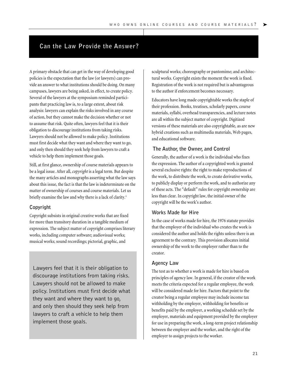#### **Can the Law Provide the Answer?**

A primary obstacle that can get in the way of developing good policies is the expectation that the law (or lawyers) can provide an answer to what institutions should be doing. On many campuses, lawyers are being asked, in effect, to create policy. Several of the lawyers at the symposium reminded participants that practicing law is, to a large extent, about risk analysis: lawyers can explain the risks involved in any course of action, but they cannot make the decision whether or not to assume that risk. Quite often, lawyers feel that it is their obligation to discourage institutions from taking risks. Lawyers should not be allowed to make policy. Institutions must first decide what they want and where they want to go, and only then should they seek help from lawyers to craft a vehicle to help them implement those goals.

Still, at first glance, ownership of course materials appears to be a legal issue. After all, *copyright* is a legal term. But despite the many articles and monographs asserting what the law says about this issue, the fact is that the law is indeterminate on the matter of ownership of courses and course materials. Let us briefly examine the law and why there is a lack of clarity.<sup>4</sup>

#### **Copyright**

Copyright subsists in original creative works that are fixed for more than transitory duration in a tangible medium of expression. The subject matter of copyright comprises literary works, including computer software; audiovisual works; musical works; sound recordings; pictorial, graphic, and

Lawyers feel that it is their obligation to discourage institutions from taking risks. Lawyers should not be allowed to make policy. Institutions must first decide what they want and where they want to go, and only then should they seek help from lawyers to craft a vehicle to help them implement those goals.

sculptural works; choreography or pantomime; and architectural works. Copyright exists the moment the work is fixed. Registration of the work is not required but is advantageous to the author if enforcement becomes necessary.

Educators have long made copyrightable works the staple of their profession. Books, treatises, scholarly papers, course materials, syllabi, overhead transparencies, and lecture notes are all within the subject matter of copyright. Digitized versions of these materials are also copyrightable, as are new hybrid creations such as multimedia materials, Web pages, and educational software.

#### **The Author, the Owner, and Control**

Generally, the author of a work is the individual who fixes the expression. The author of a copyrighted work is granted several exclusive rights: the right to make reproductions of the work, to distribute the work, to create derivative works, to publicly display or perform the work, and to authorize any of these acts. The "default" rules for copyright ownership are less than clear. In copyright law, the initial owner of the copyright will be the work's author.

#### **Works Made for Hire**

In the case of works made for hire, the 1976 statute provides that the employer of the individual who creates the work is considered the author and holds the rights unless there is an agreement to the contrary. This provision allocates initial ownership of the work to the employer rather than to the creator.

#### **Agency Law**

The test as to whether a work is made for hire is based on principles of agency law. In general, if the creator of the work meets the criteria expected for a regular employee, the work will be considered made for hire. Factors that point to the creator being a regular employee may include income tax withholding by the employer, withholding for benefits or benefits paid by the employer, a working schedule set by the employer, materials and equipment provided by the employer for use in preparing the work, a long-term project relationship between the employer and the worker, and the right of the employer to assign projects to the worker.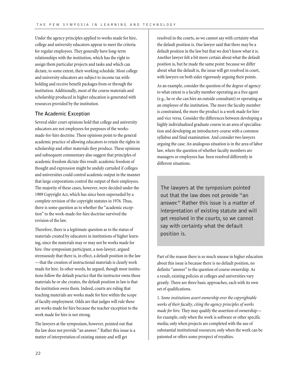Under the agency principles applied to works made for hire, college and university educators appear to meet the criteria for regular employees. They generally have long-term relationships with the institution, which has the right to assign them particular projects and tasks and which can dictate, to some extent, their working schedule. Most college and university educators are subject to income tax withholding and receive benefit packages from or through the institution. Additionally, most of the course materials and scholarship produced in higher education is generated with resources provided by the institution.

#### **The Academic Exception**

Several older court opinions hold that college and university educators are not employees for purposes of the worksmade-for-hire doctrine. These opinions point to the general academic practice of allowing educators to retain the rights in scholarship and other materials they produce. These opinions and subsequent commentary also suggest that principles of academic freedom dictate this result: academic freedom of thought and expression might be unduly curtailed if colleges and universities could control academic output in the manner that large corporations control the output of their employees. The majority of these cases, however, were decided under the 1909 Copyright Act, which has since been superseded by a complete revision of the copyright statutes in 1976. Thus, there is some question as to whether the "academic exception" to the work-made-for-hire doctrine survived the revision of the law.

Therefore, there is a legitimate question as to the status of materials created by educators in institutions of higher learning, since the materials may or may not be works made for hire. One symposium participant, a non-lawyer, argued strenuously that there is, in effect, a default position in the law —that the creation of instructional materials is clearly work made for hire. In other words, he argued, though most institutions follow the default practice that the instructor owns those materials he or she creates, the default position in law is that the institution owns them. Indeed, courts are ruling that teaching materials are works made for hire within the scope of faculty employment. Odds are that judges will rule these are works made for hire because the teacher exception to the work made for hire is not strong.

The lawyers at the symposium, however, pointed out that the law does not provide "an answer." Rather this issue is a matter of interpretation of existing statute and will get

resolved in the courts, so we cannot say with certainty what the default position is. One lawyer said that there may be a default position in the law but that we don't know what it is. Another lawyer felt a bit more certain about what the default position is, but he made the same point: because we differ about what the default is, the issue will get resolved in court, with lawyers on both sides vigorously arguing their points.

As an example, consider the question of the degree of agency: to what extent is a faculty member operating as a free agent (e.g., he or she can hire an outside consultant) or operating as an employee of the institution. The more the faculty member is constrained, the more the product is a work made for hire and vice versa. Consider the differences between developing a highly individualized graduate course in an area of specialization and developing an introductory course with a common syllabus and final examination. And consider two lawyers arguing the case. An analogous situation is in the area of labor law, where the question of whether faculty members are managers or employees has been resolved differently in different situations.

The lawyers at the symposium pointed out that the law does not provide "an answer." Rather this issue is a matter of interpretation of existing statute and will get resolved in the courts, so we cannot say with certainty what the default position is.

Part of the reason there is so much unease in higher education about this issue is because there is no default position, no definite "answer" to the question of course ownership. As a result, existing policies at colleges and universities vary greatly. There are three basic approaches, each with its own set of qualifications.

1. *Some institutions assert ownership over the copyrightable works of their faculty, citing the agency principles of works made for hire.* They may qualify the assertion of ownership for example, only when the work is software or other specific media; only when projects are completed with the use of substantial institutional resources; only when the work can be patented or offers some prospect of royalties.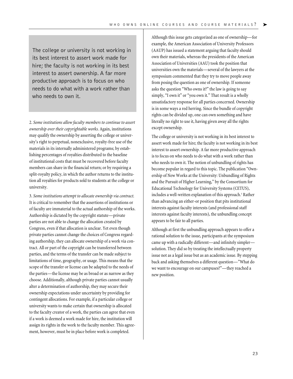The college or university is not working in its best interest to assert work made for hire; the faculty is not working in its best interest to assert ownership. A far more productive approach is to focus on who needs to do what with a work rather than who needs to own it.

2. *Some institutions allow faculty members to continue to assert ownership over their copyrightable works.* Again, institutions may qualify the ownership by asserting the college or university's right to perpetual, nonexclusive, royalty-free use of the materials in its internally administered programs; by establishing percentages of royalties distributed to the baseline of institutional costs that must be recovered before faculty members can share in the financial return; or by requiring a split-royalty policy, in which the author returns to the institution all royalties for products sold to students at the college or university.

3. *Some institutions attempt to allocate ownership via contract.* It is critical to remember that the assertions of institutions or of faculty are immaterial to the actual authorship of the works. Authorship is dictated by the copyright statute—private parties are not able to change the allocation created by Congress, even if that allocation is unclear. Yet even though private parties cannot change the choices of Congress regarding authorship, they can allocate ownership of a work via contract. All or part of the copyright can be transferred between parties, and the terms of the transfer can be made subject to limitations of time, geography, or usage. This means that the scope of the transfer or license can be adapted to the needs of the parties—the license may be as broad or as narrow as they choose. Additionally, although private parties cannot usually alter a determination of authorship, they may secure their ownership expectations under uncertainty by providing for contingent allocations. For example, if a particular college or university wants to make certain that ownership is allocated to the faculty creator of a work, the parties can agree that even if a work is deemed a work made for hire, the institution will assign its rights in the work to the faculty member. This agreement, however, must be in place before work is completed.

Although this issue gets categorized as one of ownership—for example, the American Association of University Professors (AAUP) has issued a statement arguing that faculty should own their materials, whereas the presidents of the American Association of Universities (AAU) took the position that universities own the materials—several of the lawyers at the symposium commented that they try to move people away from posing the question as one of ownership. If someone asks the question "Who owns it?" the law is going to say simply, "I own it" or "you own it." That result is a wholly unsatisfactory response for all parties concerned. Ownership is in some ways a red herring. Since the bundle of copyright rights can be divided up, one can own something and have literally no right to use it, having given away all the rights except ownership.

➤

The college or university is not working in its best interest to assert work made for hire; the faculty is not working in its best interest to assert ownership. A far more productive approach is to focus on who needs to do what with a work rather than who needs to own it. The notion of unbundling of rights has become popular in regard to this topic. The publication "Ownership of New Works at the University: Unbundling of Rights and the Pursuit of Higher Learning," by the Consortium for Educational Technology for University Systems (CETUS), includes a well-written explanation of this approach.<sup>5</sup> Rather than advancing an either-or position that pits institutional interests against faculty interests (and professional staff interests against faculty interests), the unbundling concept appears to be fair to all parties.

Although at first the unbundling approach appears to offer a rational solution to the issue, participants at the symposium came up with a radically different—and infinitely simpler solution. They did so by treating the intellectually property issue not as a legal issue but as an academic issue. By stepping back and asking themselves a different question—"What do we want to encourage on our campuses?"—they reached a new position.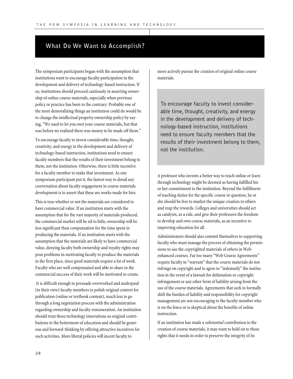#### **What Do We Want to Accomplish?**

The symposium participants began with the assumption that institutions want to encourage faculty participation in the development and delivery of technology-based instruction. If so, institutions should proceed cautiously in asserting ownership of online course materials, especially when previous policy or practice has been to the contrary. Probably one of the most demoralizing things an institution could do would be to change the intellectual property ownership policy by saying, "We used to let you own your course materials, but that was before we realized there was money to be made off them."

To encourage faculty to invest considerable time, thought, creativity, and energy in the development and delivery of technology-based instruction, institutions need to ensure faculty members that the results of their investment belong to them, not the institution. Otherwise, there is little incentive for a faculty member to make that investment. As one symposium participant put it, the fastest way to derail any conversation about faculty engagement in course materials development is to assert that these are works made for hire.

This is true whether or not the materials are considered to have commercial value. If an institution starts with the assumption that for the vast majority of materials produced, the commercial market will be nil to little, ownership will be less significant than compensation for the time spent in producing the materials. If an institution starts with the assumption that the materials are likely to have commercial value, denying faculty both ownership and royalty rights may pose problems in motivating faculty to produce the materials in the first place, since good materials require a lot of work. Faculty who are well compensated and able to share in the commercial success of their work will be motivated to create.

It is difficult enough to persuade overworked and underpaid (in their view) faculty members to polish original content for publication (online or textbook content), much less to go through a long negotiation process with the administration regarding ownership and faculty remuneration. An institution should treat these technology innovations as original contributions to the betterment of education and should be generous and forward-thinking by offering attractive incentives for such activities. More liberal policies will incent faculty to

more actively pursue the creation of original online course materials.

To encourage faculty to invest considerable time, thought, creativity, and energy in the development and delivery of technology-based instruction, institutions need to ensure faculty members that the results of their investment belong to them, not the institution.

A professor who invents a better way to teach online or learn through technology might be deemed as having fulfilled his or her commitment to the institution. Beyond the fulfillment of teaching duties for the specific course in question, he or she should be free to market the unique creation to others and reap the rewards. Colleges and universities should act as catalysts, as a rule, and give their professors the freedom to develop and own course materials, as an incentive to improving education for all.

Administrators should also commit themselves to supporting faculty who must manage the process of obtaining the permissions to use the copyrighted materials of others in Webenhanced courses. Far too many "Web Course Agreements" require faculty to "warrant" that the course materials do not infringe on copyright and to agree to "indemnify" the institution in the event of a lawsuit for defamation or copyright infringement or any other form of liability arising from the use of the course materials. Agreements that seek to formally shift the burden of liability and responsibility for copyright management are not encouraging to the faculty member who is on the fence or is skeptical about the benefits of online instruction.

If an institution has made a *substantial*contribution to the creation of course materials, it may want to hold on to those rights that it needs in order to preserve the integrity of its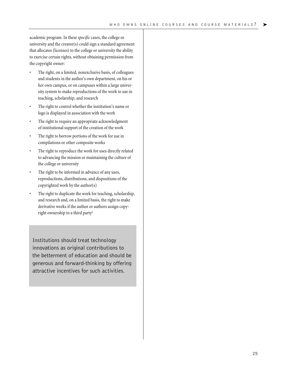academic program. In these *specific* cases, the college or university and the creator(s) could sign a standard agreement that allocates (licenses) to the college or university the ability to exercise certain rights, without obtaining permission from the copyright owner:

- The right, on a limited, nonexclusive basis, of colleagues and students in the author's own department, on his or her own campus, or on campuses within a large university system to make reproductions of the work to use in teaching, scholarship, and research
- The right to control whether the institution's name or logo is displayed in association with the work
- The right to require an appropriate acknowledgment of institutional support of the creation of the work
- The right to borrow portions of the work for use in compilations or other composite works
- The right to reproduce the work for uses directly related to advancing the mission or maintaining the culture of the college or university
- The right to be informed in advance of any uses, reproductions, distributions, and dispositions of the copyrighted work by the author(s)
- The right to duplicate the work for teaching, scholarship, and research and, on a limited basis, the right to make derivative works if the author or authors assign copyright ownership to a third party<sup>6</sup>

Institutions should treat technology innovations as original contributions to the betterment of education and should be generous and forward-thinking by offering attractive incentives for such activities.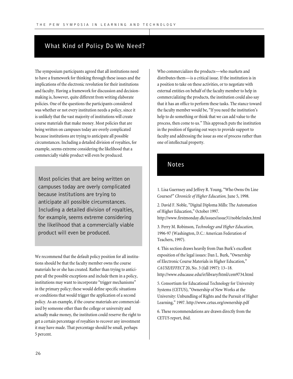#### **What Kind of Policy Do We Need?**

The symposium participants agreed that all institutions need to have a framework for thinking through these issues and the implications of the electronic revolution for their institutions and faculty. Having a framework for discussion and decisionmaking is, however, quite different from writing elaborate policies. One of the questions the participants considered was whether or not every institution needs a policy, since it is unlikely that the vast majority of institutions will create course materials that make money. Most policies that are being written on campuses today are overly complicated because institutions are trying to anticipate all possible circumstances. Including a detailed division of royalties, for example, seems extreme considering the likelihood that a commercially viable product will even be produced.

Most policies that are being written on campuses today are overly complicated because institutions are trying to anticipate all possible circumstances. Including a detailed division of royalties, for example, seems extreme considering the likelihood that a commercially viable product will even be produced.

We recommend that the default policy position for all institutions should be that the faculty member owns the course materials he or she has created. Rather than trying to anticipate all the possible exceptions and include them in a policy, institutions may want to incorporate "trigger mechanisms" in the primary policy; these would define specific situations or conditions that would trigger the application of a second policy. As an example, if the course materials are commercialized by someone other than the college or university and actually make money, the institution could reserve the right to get a certain percentage of royalties to recover any investment it may have made. That percentage should be small, perhaps 5 percent.

Who commercializes the products—who markets and distributes them—is a critical issue. If the institution is in a position to take on these activities, or to negotiate with external entities on behalf of the faculty member to help in commercializing the products, the institution could also say that it has an office to perform these tasks. The stance toward the faculty member would be, "If you need the institution's help to do something or think that we can add value to the process, then come to us." This approach puts the institution in the position of figuring out ways to provide support to faculty and addressing the issue as one of process rather than one of intellectual property.

#### **Notes**

1. Lisa Guernsey and Jeffrey R. Young, "Who Owns On Line Courses?" *Chronicle of Higher Education,* June 5, 1998.

2. David F. Noble, "Digital Diploma Mills: The Automation of Higher Education," October 1997. http://www.firstmonday.dk/issues/issue31/noble/index.html

3. Perry M. Robinson, *Technology and Higher Education,* 1996-97 (Washington, D.C.: American Federation of Teachers, 1997).

4. This section draws heavily from Dan Burk's excellent exposition of the legal issues: Dan L. Burk, "Ownership of Electronic Course Materials in Higher Education," *CAUSE/EFFECT* 20, No. 3 (fall 1997): 13–18. http://www.educause.edu/ir/library/html/cem9734.html

5. Consortium for Educational Technology for University Systems (CETUS), "Ownership of New Works at the University: Unbundling of Rights and the Pursuit of Higher Learning," 1997. http://www.cetus.org/ownership.pdf

6. These recommendations are drawn directly from the CETUS report, ibid.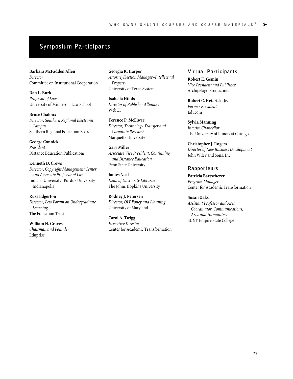### **Symposium Participants**

**Barbara McFadden Allen** *Director* Committee on Institutional Cooperation

**Dan L. Burk** *Professor of Law* University of Minnesota Law School

**Bruce Chaloux** *Director, Southern Regional Electronic Campus* Southern Regional Education Board

**George Connick** *President* Distance Education Publications

**Kenneth D. Crews** *Director, Copyright Management Center, and Associate Professor of Law* Indiana University–Purdue University Indianapolis

**Russ Edgerton** *Director, Pew Forum on Undergraduate Learning* The Education Trust

**William H. Graves** *Chairman and Founder* Eduprise

**Georgia K. Harper** *Attorney/Section Manager–Intellectual Property* University of Texas System

**Isabella Hinds** *Director of Publisher Alliances* WebCT

**Terence P. McElwee** *Director, Technology Transfer and Corporate Research* Marquette University

**Gary Miller** *Associate Vice President, Continuing and Distance Education* Penn State University

**James Neal** *Dean of University Libraries* The Johns Hopkins University

**Rodney J. Petersen** *Director, OIT Policy and Planning* University of Maryland

**Carol A. Twigg** *Executive Director* Center for Academic Transformation

#### **Virtual Participants**

**Robert K. Gemin** *Vice President and Publisher* Archipelago Productions

**Robert C. Heterick, Jr.** *Former President* Educom

**Sylvia Manning** *Interim Chancellor* The University of Illinois at Chicago

**Christopher J. Rogers** *Director of New Business Development* John Wiley and Sons, Inc.

#### **Rapporteurs**

**Patricia Bartscherer** *Program Manager* Center for Academic Transformation

#### **Susan Oaks**

*Assistant Professor and Area Coordinator, Communications, Arts, and Humanities* SUNY Empire State College